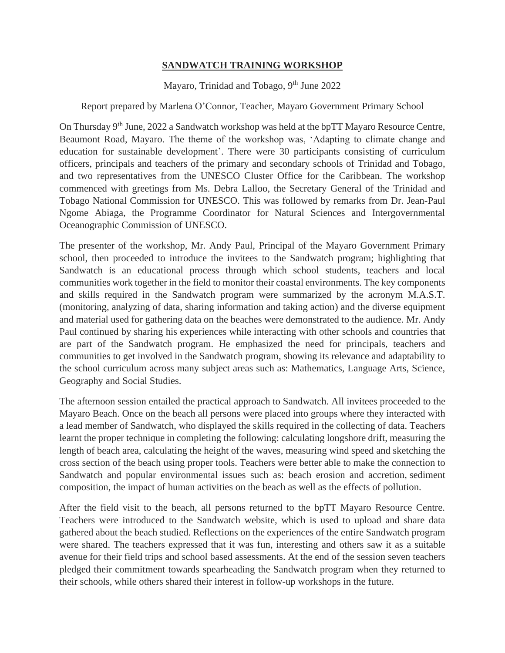## **SANDWATCH TRAINING WORKSHOP**

Mayaro, Trinidad and Tobago, 9<sup>th</sup> June 2022

## Report prepared by Marlena O'Connor, Teacher, Mayaro Government Primary School

On Thursday 9<sup>th</sup> June, 2022 a Sandwatch workshop was held at the bpTT Mayaro Resource Centre, Beaumont Road, Mayaro. The theme of the workshop was, 'Adapting to climate change and education for sustainable development'. There were 30 participants consisting of curriculum officers, principals and teachers of the primary and secondary schools of Trinidad and Tobago, and two representatives from the UNESCO Cluster Office for the Caribbean. The workshop commenced with greetings from Ms. Debra Lalloo, the Secretary General of the Trinidad and Tobago National Commission for UNESCO. This was followed by remarks from Dr. Jean-Paul Ngome Abiaga, the Programme Coordinator for Natural Sciences and Intergovernmental Oceanographic Commission of UNESCO.

The presenter of the workshop, Mr. Andy Paul, Principal of the Mayaro Government Primary school, then proceeded to introduce the invitees to the Sandwatch program; highlighting that Sandwatch is an educational process through which school students, teachers and local communities work together in the field to monitor their coastal environments. The key components and skills required in the Sandwatch program were summarized by the acronym M.A.S.T. (monitoring, analyzing of data, sharing information and taking action) and the diverse equipment and material used for gathering data on the beaches were demonstrated to the audience. Mr. Andy Paul continued by sharing his experiences while interacting with other schools and countries that are part of the Sandwatch program. He emphasized the need for principals, teachers and communities to get involved in the Sandwatch program, showing its relevance and adaptability to the school curriculum across many subject areas such as: Mathematics, Language Arts, Science, Geography and Social Studies.

The afternoon session entailed the practical approach to Sandwatch. All invitees proceeded to the Mayaro Beach. Once on the beach all persons were placed into groups where they interacted with a lead member of Sandwatch, who displayed the skills required in the collecting of data. Teachers learnt the proper technique in completing the following: calculating longshore drift, measuring the length of beach area, calculating the height of the waves, measuring wind speed and sketching the cross section of the beach using proper tools. Teachers were better able to make the connection to Sandwatch and popular environmental issues such as: beach erosion and accretion, sediment composition, the impact of human activities on the beach as well as the effects of pollution.

After the field visit to the beach, all persons returned to the bpTT Mayaro Resource Centre. Teachers were introduced to the Sandwatch website, which is used to upload and share data gathered about the beach studied. Reflections on the experiences of the entire Sandwatch program were shared. The teachers expressed that it was fun, interesting and others saw it as a suitable avenue for their field trips and school based assessments. At the end of the session seven teachers pledged their commitment towards spearheading the Sandwatch program when they returned to their schools, while others shared their interest in follow-up workshops in the future.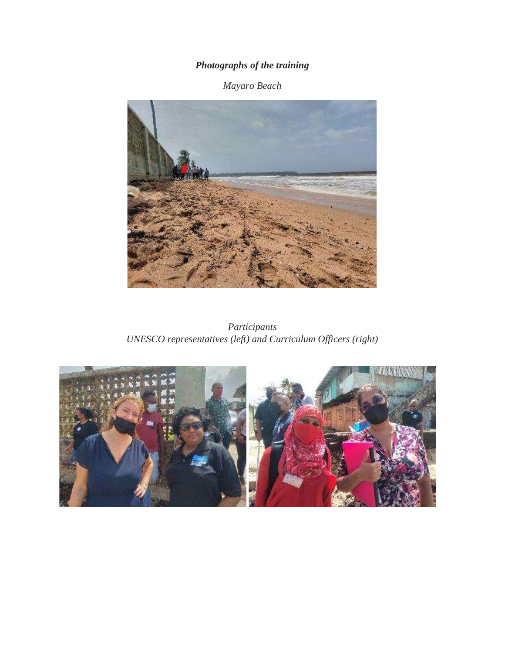## *Photographs of the training*

## *Mayaro Beach*



*Participants UNESCO representatives (left) and Curriculum Officers (right)*

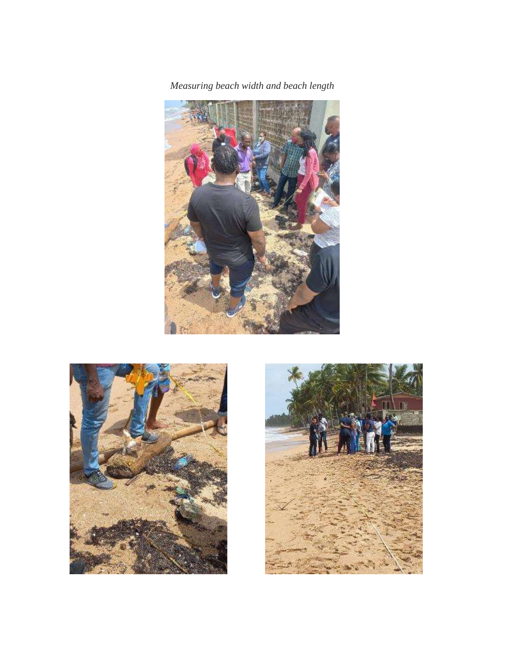*Measuring beach width and beach length*